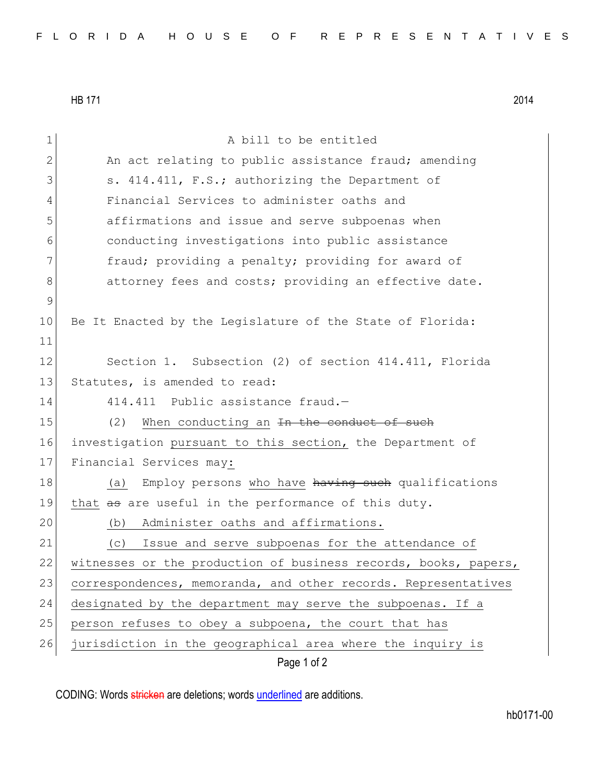HB 171 2014

Page 1 of 2 1 a bill to be entitled 2 An act relating to public assistance fraud; amending 3 S. 414.411, F.S.; authorizing the Department of 4 Financial Services to administer oaths and 5 affirmations and issue and serve subpoenas when 6 conducting investigations into public assistance 7 The fraud; providing a penalty; providing for award of 8 8 8 attorney fees and costs; providing an effective date. 9 10 Be It Enacted by the Legislature of the State of Florida: 11 12 Section 1. Subsection (2) of section 414.411, Florida 13 Statutes, is amended to read: 14 414.411 Public assistance fraud.-15  $(2)$  When conducting an <del>In the conduct of such</del> 16 investigation pursuant to this section, the Department of 17 Financial Services may: 18 (a) Employ persons who have having such qualifications 19 that as are useful in the performance of this duty. 20 (b) Administer oaths and affirmations. 21 (c) Issue and serve subpoenas for the attendance of 22 witnesses or the production of business records, books, papers, 23 correspondences, memoranda, and other records. Representatives 24 designated by the department may serve the subpoenas. If a 25 person refuses to obey a subpoena, the court that has 26 jurisdiction in the geographical area where the inquiry is

CODING: Words stricken are deletions; words underlined are additions.